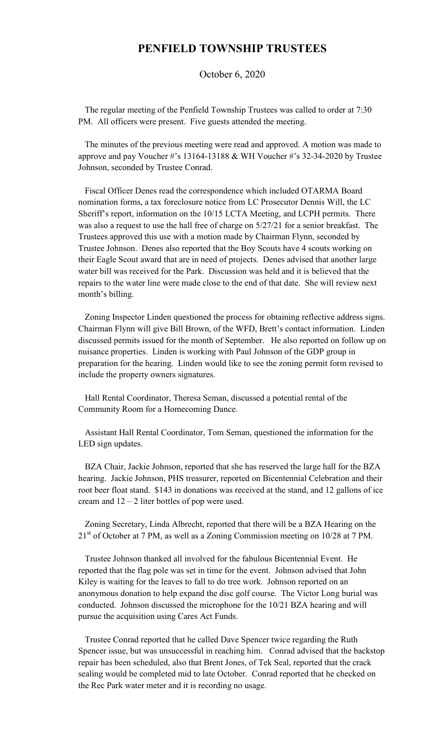## **PENFIELD TOWNSHIP TRUSTEES**

October 6, 2020

 The regular meeting of the Penfield Township Trustees was called to order at 7:30 PM. All officers were present. Five guests attended the meeting.

 The minutes of the previous meeting were read and approved. A motion was made to approve and pay Voucher #'s 13164-13188 & WH Voucher #'s 32-34-2020 by Trustee Johnson, seconded by Trustee Conrad.

 Fiscal Officer Denes read the correspondence which included OTARMA Board nomination forms, a tax foreclosure notice from LC Prosecutor Dennis Will, the LC Sheriff's report, information on the 10/15 LCTA Meeting, and LCPH permits. There was also a request to use the hall free of charge on 5/27/21 for a senior breakfast. The Trustees approved this use with a motion made by Chairman Flynn, seconded by Trustee Johnson. Denes also reported that the Boy Scouts have 4 scouts working on their Eagle Scout award that are in need of projects. Denes advised that another large water bill was received for the Park. Discussion was held and it is believed that the repairs to the water line were made close to the end of that date. She will review next month's billing.

 Zoning Inspector Linden questioned the process for obtaining reflective address signs. Chairman Flynn will give Bill Brown, of the WFD, Brett's contact information. Linden discussed permits issued for the month of September. He also reported on follow up on nuisance properties. Linden is working with Paul Johnson of the GDP group in preparation for the hearing. Linden would like to see the zoning permit form revised to include the property owners signatures.

 Hall Rental Coordinator, Theresa Seman, discussed a potential rental of the Community Room for a Homecoming Dance.

 Assistant Hall Rental Coordinator, Tom Seman, questioned the information for the LED sign updates.

 BZA Chair, Jackie Johnson, reported that she has reserved the large hall for the BZA hearing. Jackie Johnson, PHS treasurer, reported on Bicentennial Celebration and their root beer float stand. \$143 in donations was received at the stand, and 12 gallons of ice cream and  $12 - 2$  liter bottles of pop were used.

 Zoning Secretary, Linda Albrecht, reported that there will be a BZA Hearing on the  $21<sup>st</sup>$  of October at 7 PM, as well as a Zoning Commission meeting on 10/28 at 7 PM.

 Trustee Johnson thanked all involved for the fabulous Bicentennial Event. He reported that the flag pole was set in time for the event. Johnson advised that John Kiley is waiting for the leaves to fall to do tree work. Johnson reported on an anonymous donation to help expand the disc golf course. The Victor Long burial was conducted. Johnson discussed the microphone for the 10/21 BZA hearing and will pursue the acquisition using Cares Act Funds.

 Trustee Conrad reported that he called Dave Spencer twice regarding the Ruth Spencer issue, but was unsuccessful in reaching him. Conrad advised that the backstop repair has been scheduled, also that Brent Jones, of Tek Seal, reported that the crack sealing would be completed mid to late October. Conrad reported that he checked on the Rec Park water meter and it is recording no usage.